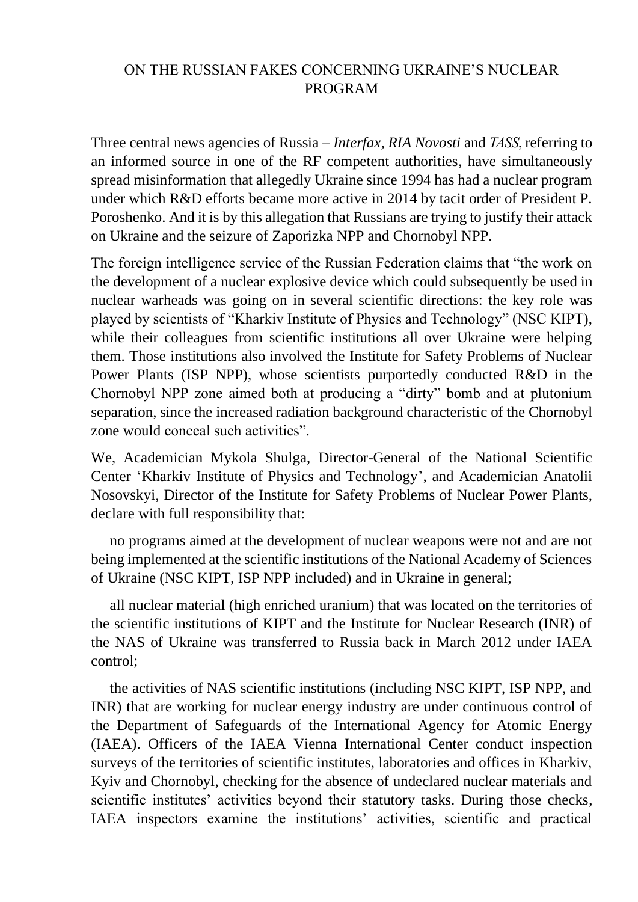## ON THE RUSSIAN FAKES CONCERNING UKRAINE'S NUCLEAR PROGRAM

Three central news agencies of Russia – *Interfax*, *RIA Novosti* and *TASS*, referring to an informed source in one of the RF competent authorities, have simultaneously spread misinformation that allegedly Ukraine since 1994 has had a nuclear program under which R&D efforts became more active in 2014 by tacit order of President P. Poroshenko. And it is by this allegation that Russians are trying to justify their attack on Ukraine and the seizure of Zaporizka NPP and Chornobyl NPP.

The foreign intelligence service of the Russian Federation claims that "the work on the development of a nuclear explosive device which could subsequently be used in nuclear warheads was going on in several scientific directions: the key role was played by scientists of "Kharkiv Institute of Physics and Technology" (NSC KIPT), while their colleagues from scientific institutions all over Ukraine were helping them. Those institutions also involved the Institute for Safety Problems of Nuclear Power Plants (ISP NPP), whose scientists purportedly conducted R&D in the Chornobyl NPP zone aimed both at producing a "dirty" bomb and at plutonium separation, since the increased radiation background characteristic of the Chornobyl zone would conceal such activities"

We, Academician Mykola Shulga, Director-General of the National Scientific Center 'Kharkiv Institute of Physics and Technology', and Academician Anatolii Nosovskyi, Director of the Institute for Safety Problems of Nuclear Power Plants, declare with full responsibility that:

 no programs aimed at the development of nuclear weapons were not and are not being implemented at the scientific institutions of the National Academy of Sciences of Ukraine (NSC KIPT, ISP NPP included) and in Ukraine in general;

 all nuclear material (high enriched uranium) that was located on the territories of the scientific institutions of KIPT and the Institute for Nuclear Research (INR) of the NAS of Ukraine was transferred to Russia back in March 2012 under IAEA control;

 the activities of NAS scientific institutions (including NSC KIPT, ISP NPP, and INR) that are working for nuclear energy industry are under continuous control of the Department of Safeguards of the International Agency for Atomic Energy (IAEA). Officers of the IAEA Vienna International Center conduct inspection surveys of the territories of scientific institutes, laboratories and offices in Kharkiv, Kyiv and Chornobyl, checking for the absence of undeclared nuclear materials and scientific institutes' activities beyond their statutory tasks. During those checks, IAEA inspectors examine the institutions' activities, scientific and practical